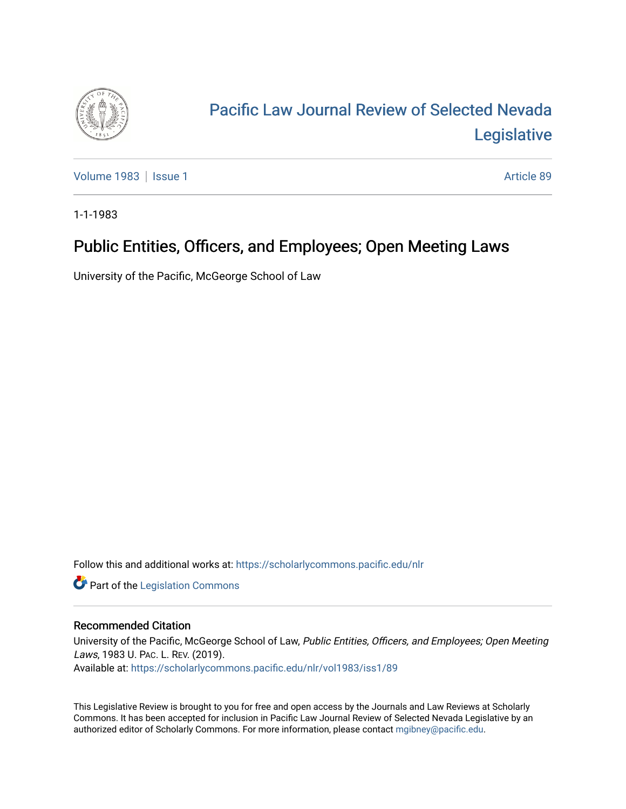

# [Pacific Law Journal Review of Selected Nevada](https://scholarlycommons.pacific.edu/nlr)  [Legislative](https://scholarlycommons.pacific.edu/nlr)

[Volume 1983](https://scholarlycommons.pacific.edu/nlr/vol1983) | [Issue 1](https://scholarlycommons.pacific.edu/nlr/vol1983/iss1) Article 89

1-1-1983

# Public Entities, Officers, and Employees; Open Meeting Laws

University of the Pacific, McGeorge School of Law

Follow this and additional works at: [https://scholarlycommons.pacific.edu/nlr](https://scholarlycommons.pacific.edu/nlr?utm_source=scholarlycommons.pacific.edu%2Fnlr%2Fvol1983%2Fiss1%2F89&utm_medium=PDF&utm_campaign=PDFCoverPages) 

**Part of the [Legislation Commons](http://network.bepress.com/hgg/discipline/859?utm_source=scholarlycommons.pacific.edu%2Fnlr%2Fvol1983%2Fiss1%2F89&utm_medium=PDF&utm_campaign=PDFCoverPages)** 

#### Recommended Citation

University of the Pacific, McGeorge School of Law, Public Entities, Officers, and Employees; Open Meeting Laws, 1983 U. PAC. L. REV. (2019). Available at: [https://scholarlycommons.pacific.edu/nlr/vol1983/iss1/89](https://scholarlycommons.pacific.edu/nlr/vol1983/iss1/89?utm_source=scholarlycommons.pacific.edu%2Fnlr%2Fvol1983%2Fiss1%2F89&utm_medium=PDF&utm_campaign=PDFCoverPages)

This Legislative Review is brought to you for free and open access by the Journals and Law Reviews at Scholarly Commons. It has been accepted for inclusion in Pacific Law Journal Review of Selected Nevada Legislative by an authorized editor of Scholarly Commons. For more information, please contact [mgibney@pacific.edu](mailto:mgibney@pacific.edu).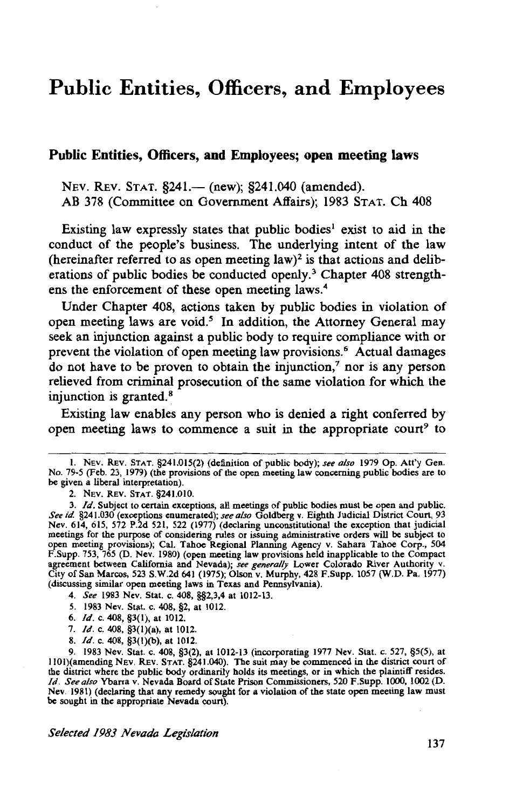## **Public Entities, Officers, and Employees**

#### **Public Entities, Officers, and Employees; open meeting laws**

NEV. REV. STAT. §241.— (new); §241.040 (amended). AB 378 (Committee on Government Affairs); 1983 STAT. Ch 408

Existing law expressly states that public bodies<sup>1</sup> exist to aid in the conduct of the people's business. The underlying intent of the law (hereinafter referred to as open meeting law)<sup>2</sup> is that actions and deliberations of public bodies be conducted openly.<sup>3</sup> Chapter 408 strengthens the enforcement of these open meeting laws.<sup>4</sup>

Under Chapter 408, actions taken by public bodies in violation of open meeting laws are void.<sup>5</sup> In addition, the Attorney General may seek an injunction against a public body to require compliance with or prevent the violation of open meeting law provisions.6 Actual damages do not have to be proven to obtain the injunction,<sup>7</sup> nor is any person relieved from criminal prosecution of the same violation for which the injunction is granted.<sup>8</sup>

Existing law enables any person who is denied a right conferred by open meeting laws to commence a suit in the appropriate court<sup>9</sup> to

2. NEV. REV. STAT. §241.010.

- 4. *See* 1983 Nev. Stat. c. 408, §§2,3,4 at 1012-13.
- 5. 1983 Nev. Stat. c. 408, §2, at 1012.
- 6. *Id.* c. 408, §3(1), at 1012.
- 7. */d.* c. 408, §3(1)(a), at 1012.
- 8. */d.* c. 408, §3(l)(b), at 1012.

9. 1983 Nev. Stat. c. 408, §3(2), at 1012-13 (incorporating 1977 Nev. Stat. c. 527, §5(5), at IIOI)(amending NEv. REv. STAT. §241.040). The suit may be commenced in the district court of the district where the public body ordinarily holds its meetings, or in which the plaintiff resides. */d. See also* Ybarra v. Nevada Board of State Prison Commissioners, 520 F.Supp. 1000, 1002 (D. Nev. 1981) (declaring that any remedy sought for a violation of the state open meeting law must be sought in the appropriate Nevada court).

*Selected 1983 Nevada Legislation* 

I. NEv. REV. STAT. §241.015(2) (definition of public body); *see also* 1979 Op. Att'y Gen. No. 79-5 (Feb. 23, 1979) (the provisions of the open meeting law concerning public bodies are to be given a liberal interpretation).

<sup>3.</sup> */d.* Subject to certain exceptions, all meetings of public bodies must be open and public. *See id* §241.030 (exceptions enumerated); *see also* Goldberg v. Eighth Judicial District Court, 93 Nev. 614, 615, 572 P.2d 521, 522 (1977) (declaring unconstitutional the exception that judicial meetings for the purpose of considering rules or issuing administrative orders will be subject to open meeting provisions); Cal. Tahoe Regional Planning Agency v. Sahara Tahoe Corp., 504 F.Supp. 753, 765 (D. Nev. 1980) (open meeting law provisions held inapplicable to the Compact agreement between California and Nevada); *see generally* Lower Colorado River Authority v. City of San Marcos, 523 S.W.2d 641 (1975); Olson v. Murphy, 428 F.Supp. 1057 (W.D. Pa. 1977) (discussing similar open meeting laws in Texas and Pennsylvania).